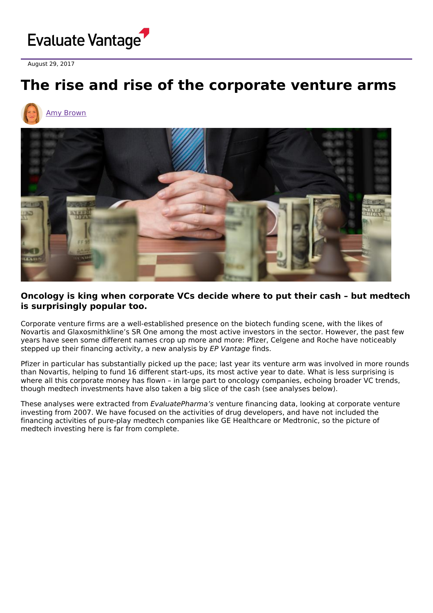

August 29, 2017

## **The rise and rise of the corporate venture arms**





## **Oncology is king when corporate VCs decide where to put their cash – but medtech is surprisingly popular too.**

Corporate venture firms are a well-established presence on the biotech funding scene, with the likes of Novartis and Glaxosmithkline's SR One among the most active investors in the sector. However, the past few years have seen some different names crop up more and more: Pfizer, Celgene and Roche have noticeably stepped up their financing activity, a new analysis by EP Vantage finds.

Pfizer in particular has substantially picked up the pace; last year its venture arm was involved in more rounds than Novartis, helping to fund 16 different start-ups, its most active year to date. What is less surprising is where all this corporate money has flown - in large part to oncology companies, echoing broader VC trends, though medtech investments have also taken a big slice of the cash (see analyses below).

These analyses were extracted from EvaluatePharma's venture financing data, looking at corporate venture investing from 2007. We have focused on the activities of drug developers, and have not included the financing activities of pure-play medtech companies like GE Healthcare or Medtronic, so the picture of medtech investing here is far from complete.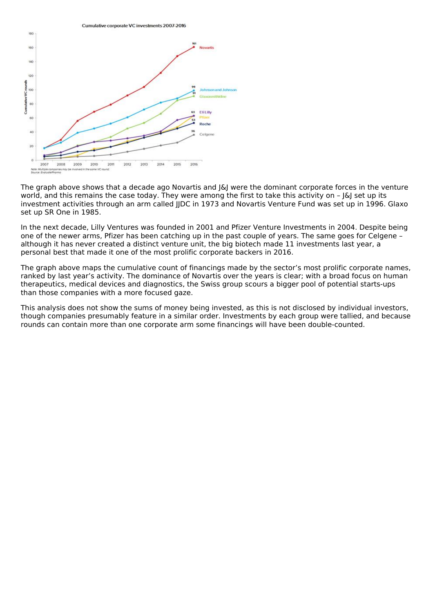

The graph above shows that a decade ago Novartis and J&J were the dominant corporate forces in the venture world, and this remains the case today. They were among the first to take this activity on - [&] set up its investment activities through an arm called JJDC in 1973 and Novartis Venture Fund was set up in 1996. Glaxo set up SR One in 1985.

In the next decade, Lilly Ventures was founded in 2001 and Pfizer Venture Investments in 2004. Despite being one of the newer arms, Pfizer has been catching up in the past couple of years. The same goes for Celgene – although it has never created a distinct venture unit, the big biotech made 11 investments last year, a personal best that made it one of the most prolific corporate backers in 2016.

The graph above maps the cumulative count of financings made by the sector's most prolific corporate names, ranked by last year's activity. The dominance of Novartis over the years is clear; with a broad focus on human therapeutics, medical devices and diagnostics, the Swiss group scours a bigger pool of potential starts-ups than those companies with a more focused gaze.

This analysis does not show the sums of money being invested, as this is not disclosed by individual investors, though companies presumably feature in a similar order. Investments by each group were tallied, and because rounds can contain more than one corporate arm some financings will have been double-counted.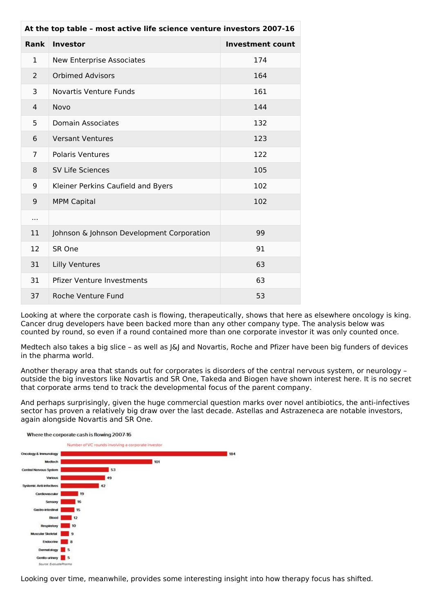| At the top table - most active life science venture investors 2007-16 |                                           |                         |
|-----------------------------------------------------------------------|-------------------------------------------|-------------------------|
| Rank                                                                  | <b>Investor</b>                           | <b>Investment count</b> |
| $\mathbf{1}$                                                          | <b>New Enterprise Associates</b>          | 174                     |
| 2                                                                     | <b>Orbimed Advisors</b>                   | 164                     |
| 3                                                                     | <b>Novartis Venture Funds</b>             | 161                     |
| 4                                                                     | Novo                                      | 144                     |
| 5                                                                     | <b>Domain Associates</b>                  | 132                     |
| 6                                                                     | <b>Versant Ventures</b>                   | 123                     |
| $\overline{7}$                                                        | <b>Polaris Ventures</b>                   | 122                     |
| 8                                                                     | <b>SV Life Sciences</b>                   | 105                     |
| 9                                                                     | Kleiner Perkins Caufield and Byers        | 102                     |
| 9                                                                     | <b>MPM Capital</b>                        | 102                     |
| $\cdots$                                                              |                                           |                         |
| 11                                                                    | Johnson & Johnson Development Corporation | 99                      |
| 12                                                                    | SR One                                    | 91                      |
| 31                                                                    | <b>Lilly Ventures</b>                     | 63                      |
| 31                                                                    | <b>Pfizer Venture Investments</b>         | 63                      |
| 37                                                                    | Roche Venture Fund                        | 53                      |

Looking at where the corporate cash is flowing, therapeutically, shows that here as elsewhere oncology is king. Cancer drug developers have been backed more than any other company type. The analysis below was counted by round, so even if a round contained more than one corporate investor it was only counted once.

Medtech also takes a big slice – as well as J&J and Novartis, Roche and Pfizer have been big funders of devices in the pharma world.

Another therapy area that stands out for corporates is disorders of the central nervous system, or neurology – outside the big investors like Novartis and SR One, Takeda and Biogen have shown interest here. It is no secret that corporate arms tend to track the developmental focus of the parent company.

And perhaps surprisingly, given the huge commercial question marks over novel antibiotics, the anti-infectives sector has proven a relatively big draw over the last decade. Astellas and Astrazeneca are notable investors, again alongside Novartis and SR One.



Looking over time, meanwhile, provides some interesting insight into how therapy focus has shifted.